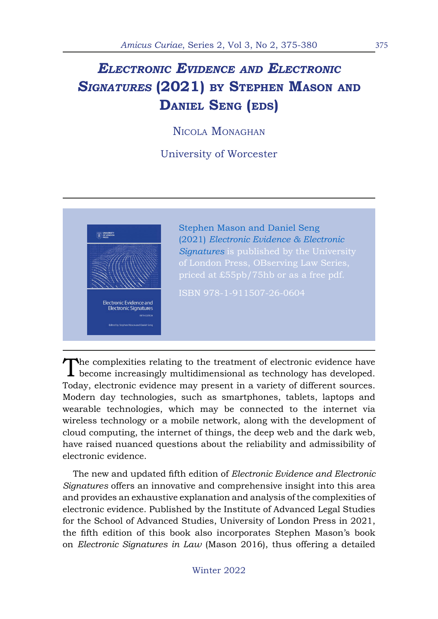## *Electronic Evidence and Electronic Signatures* **(2021) by Stephen Mason and Daniel Seng (eds)**

Nicola Monaghan

University of Worcester



The complexities relating to the treatment of electronic evidence have become increasingly multidimensional as technology has developed. Today, electronic evidence may present in a variety of different sources. Modern day technologies, such as smartphones, tablets, laptops and wearable technologies, which may be connected to the internet via wireless technology or a mobile network, along with the development of cloud computing, the internet of things, the deep web and the dark web, have raised nuanced questions about the reliability and admissibility of electronic evidence.

The new and updated fifth edition of *Electronic Evidence and Electronic Signatures* offers an innovative and comprehensive insight into this area and provides an exhaustive explanation and analysis of the complexities of electronic evidence. Published by the Institute of Advanced Legal Studies for the School of Advanced Studies, University of London Press in 2021, the fifth edition of this book also incorporates Stephen Mason's book on *Electronic Signatures in Law* (Mason 2016), thus offering a detailed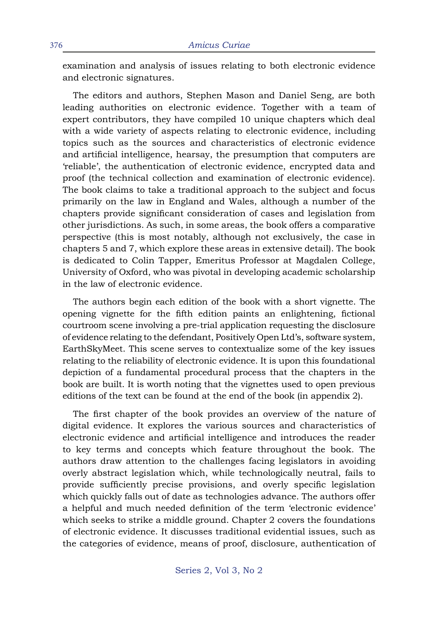examination and analysis of issues relating to both electronic evidence and electronic signatures.

The editors and authors, Stephen Mason and Daniel Seng, are both leading authorities on electronic evidence. Together with a team of expert contributors, they have compiled 10 unique chapters which deal with a wide variety of aspects relating to electronic evidence, including topics such as the sources and characteristics of electronic evidence and artificial intelligence, hearsay, the presumption that computers are 'reliable', the authentication of electronic evidence, encrypted data and proof (the technical collection and examination of electronic evidence). The book claims to take a traditional approach to the subject and focus primarily on the law in England and Wales, although a number of the chapters provide significant consideration of cases and legislation from other jurisdictions. As such, in some areas, the book offers a comparative perspective (this is most notably, although not exclusively, the case in chapters 5 and 7, which explore these areas in extensive detail). The book is dedicated to Colin Tapper, Emeritus Professor at Magdalen College, University of Oxford, who was pivotal in developing academic scholarship in the law of electronic evidence.

The authors begin each edition of the book with a short vignette. The opening vignette for the fifth edition paints an enlightening, fictional courtroom scene involving a pre-trial application requesting the disclosure of evidence relating to the defendant, Positively Open Ltd's, software system, EarthSkyMeet. This scene serves to contextualize some of the key issues relating to the reliability of electronic evidence. It is upon this foundational depiction of a fundamental procedural process that the chapters in the book are built. It is worth noting that the vignettes used to open previous editions of the text can be found at the end of the book (in appendix 2).

The first chapter of the book provides an overview of the nature of digital evidence. It explores the various sources and characteristics of electronic evidence and artificial intelligence and introduces the reader to key terms and concepts which feature throughout the book. The authors draw attention to the challenges facing legislators in avoiding overly abstract legislation which, while technologically neutral, fails to provide sufficiently precise provisions, and overly specific legislation which quickly falls out of date as technologies advance. The authors offer a helpful and much needed definition of the term 'electronic evidence' which seeks to strike a middle ground. Chapter 2 covers the foundations of electronic evidence. It discusses traditional evidential issues, such as the categories of evidence, means of proof, disclosure, authentication of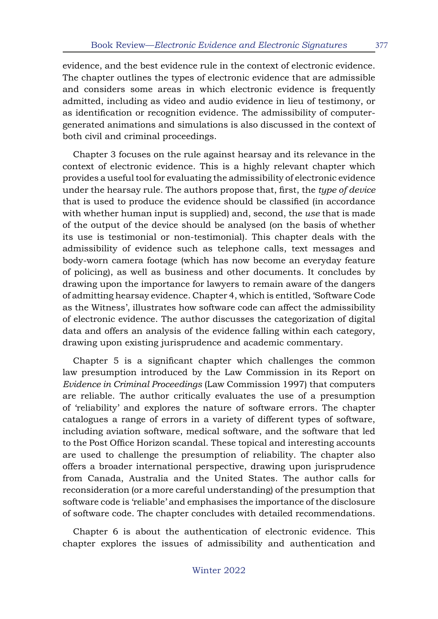evidence, and the best evidence rule in the context of electronic evidence. The chapter outlines the types of electronic evidence that are admissible and considers some areas in which electronic evidence is frequently admitted, including as video and audio evidence in lieu of testimony, or as identification or recognition evidence. The admissibility of computergenerated animations and simulations is also discussed in the context of both civil and criminal proceedings.

Chapter 3 focuses on the rule against hearsay and its relevance in the context of electronic evidence. This is a highly relevant chapter which provides a useful tool for evaluating the admissibility of electronic evidence under the hearsay rule. The authors propose that, first, the *type of device*  that is used to produce the evidence should be classified (in accordance with whether human input is supplied) and, second, the *use* that is made of the output of the device should be analysed (on the basis of whether its use is testimonial or non-testimonial). This chapter deals with the admissibility of evidence such as telephone calls, text messages and body-worn camera footage (which has now become an everyday feature of policing), as well as business and other documents. It concludes by drawing upon the importance for lawyers to remain aware of the dangers of admitting hearsay evidence. Chapter 4, which is entitled, 'Software Code as the Witness', illustrates how software code can affect the admissibility of electronic evidence. The author discusses the categorization of digital data and offers an analysis of the evidence falling within each category, drawing upon existing jurisprudence and academic commentary.

Chapter 5 is a significant chapter which challenges the common law presumption introduced by the Law Commission in its Report on *Evidence in Criminal Proceedings* (Law Commission 1997) that computers are reliable. The author critically evaluates the use of a presumption of 'reliability' and explores the nature of software errors. The chapter catalogues a range of errors in a variety of different types of software, including aviation software, medical software, and the software that led to the Post Office Horizon scandal. These topical and interesting accounts are used to challenge the presumption of reliability. The chapter also offers a broader international perspective, drawing upon jurisprudence from Canada, Australia and the United States. The author calls for reconsideration (or a more careful understanding) of the presumption that software code is 'reliable' and emphasises the importance of the disclosure of software code. The chapter concludes with detailed recommendations.

Chapter 6 is about the authentication of electronic evidence. This chapter explores the issues of admissibility and authentication and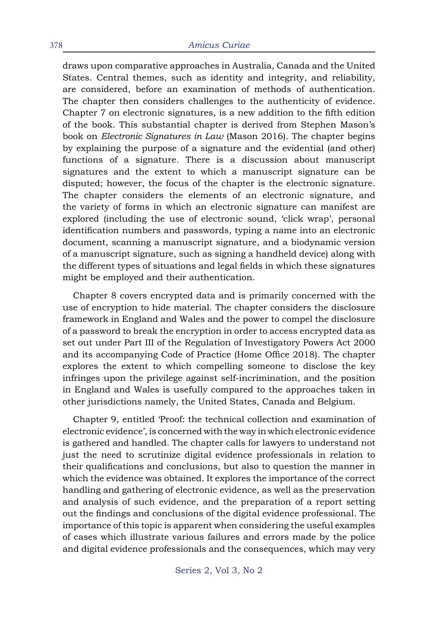draws upon comparative approaches in Australia, Canada and the United States. Central themes, such as identity and integrity, and reliability, are considered, before an examination of methods of authentication. The chapter then considers challenges to the authenticity of evidence. Chapter 7 on electronic signatures, is a new addition to the fifth edition of the book. This substantial chapter is derived from Stephen Mason's book on *Electronic Signatures in Law* (Mason 2016). The chapter begins by explaining the purpose of a signature and the evidential (and other) functions of a signature. There is a discussion about manuscript signatures and the extent to which a manuscript signature can be disputed; however, the focus of the chapter is the electronic signature. The chapter considers the elements of an electronic signature, and the variety of forms in which an electronic signature can manifest are explored (including the use of electronic sound, 'click wrap', personal identification numbers and passwords, typing a name into an electronic document, scanning a manuscript signature, and a biodynamic version of a manuscript signature, such as signing a handheld device) along with the different types of situations and legal fields in which these signatures might be employed and their authentication.

Chapter 8 covers encrypted data and is primarily concerned with the use of encryption to hide material. The chapter considers the disclosure framework in England and Wales and the power to compel the disclosure of a password to break the encryption in order to access encrypted data as set out under Part III of the Regulation of Investigatory Powers Act 2000 and its accompanying Code of Practice (Home Office 2018). The chapter explores the extent to which compelling someone to disclose the key infringes upon the privilege against self-incrimination, and the position in England and Wales is usefully compared to the approaches taken in other jurisdictions namely, the United States, Canada and Belgium.

Chapter 9, entitled 'Proof: the technical collection and examination of electronic evidence', is concerned with the way in which electronic evidence is gathered and handled. The chapter calls for lawyers to understand not just the need to scrutinize digital evidence professionals in relation to their qualifications and conclusions, but also to question the manner in which the evidence was obtained. It explores the importance of the correct handling and gathering of electronic evidence, as well as the preservation and analysis of such evidence, and the preparation of a report setting out the findings and conclusions of the digital evidence professional. The importance of this topic is apparent when considering the useful examples of cases which illustrate various failures and errors made by the police and digital evidence professionals and the consequences, which may very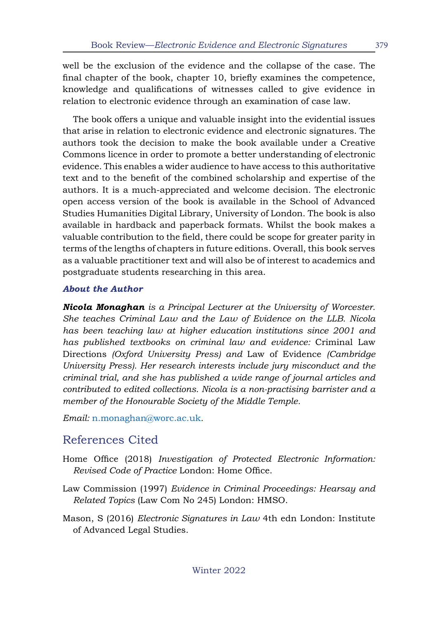well be the exclusion of the evidence and the collapse of the case. The final chapter of the book, chapter 10, briefly examines the competence, knowledge and qualifications of witnesses called to give evidence in relation to electronic evidence through an examination of case law.

The book offers a unique and valuable insight into the evidential issues that arise in relation to electronic evidence and electronic signatures. The authors took the decision to make the book available under a Creative Commons licence in order to promote a better understanding of electronic evidence. This enables a wider audience to have access to this authoritative text and to the benefit of the combined scholarship and expertise of the authors. It is a much-appreciated and welcome decision. The electronic open access version of the book is available in the School of Advanced Studies Humanities Digital Library, University of London. The book is also available in hardback and paperback formats. Whilst the book makes a valuable contribution to the field, there could be scope for greater parity in terms of the lengths of chapters in future editions. Overall, this book serves as a valuable practitioner text and will also be of interest to academics and postgraduate students researching in this area.

## *About the Author*

*Nicola Monaghan is a Principal Lecturer at the University of Worcester. She teaches Criminal Law and the Law of Evidence on the LLB. Nicola has been teaching law at higher education institutions since 2001 and has published textbooks on criminal law and evidence:* Criminal Law Directions *(Oxford University Press) and* Law of Evidence *(Cambridge University Press). Her research interests include jury misconduct and the criminal trial, and she has published a wide range of journal articles and contributed to edited collections. Nicola is a non-practising barrister and a member of the Honourable Society of the Middle Temple.*

*Email:* [n.monaghan@worc.ac.uk](mailto:n.monaghan%40worc.ac.uk?subject=)*.*

## References Cited

- Home Office (2018) *Investigation of Protected Electronic Information: Revised Code of Practice* London: Home Office.
- Law Commission (1997) *Evidence in Criminal Proceedings: Hearsay and Related Topics* (Law Com No 245) London: HMSO.
- Mason, S (2016) *Electronic Signatures in Law* 4th edn London: Institute of Advanced Legal Studies.